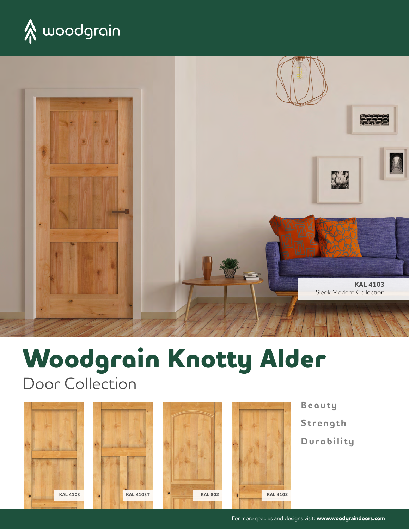



# **Woodgrain Knotty Alder**

Door Collection









**Beauty Strength Durability**